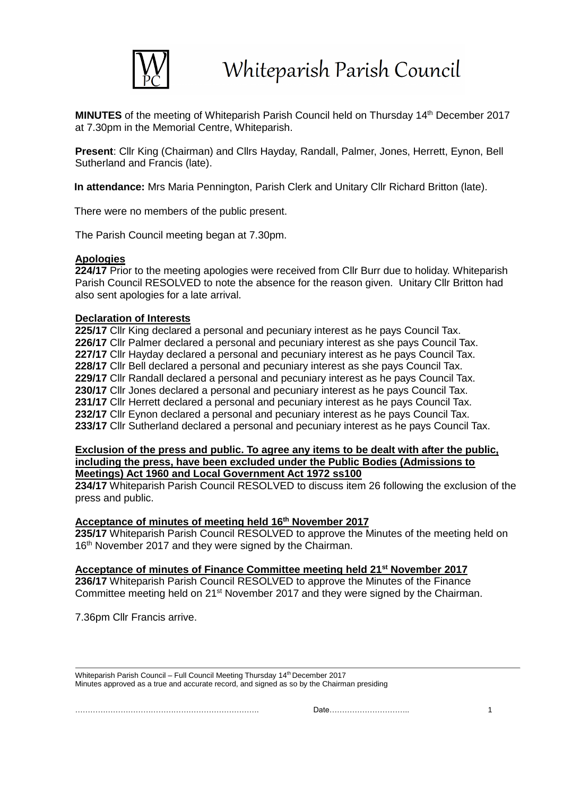

**MINUTES** of the meeting of Whiteparish Parish Council held on Thursday 14<sup>th</sup> December 2017 at 7.30pm in the Memorial Centre, Whiteparish.

**Present**: Cllr King (Chairman) and Cllrs Hayday, Randall, Palmer, Jones, Herrett, Eynon, Bell Sutherland and Francis (late).

**In attendance:** Mrs Maria Pennington, Parish Clerk and Unitary Cllr Richard Britton (late).

There were no members of the public present.

The Parish Council meeting began at 7.30pm.

#### **Apologies**

224/17 Prior to the meeting apologies were received from Cllr Burr due to holiday. Whiteparish Parish Council RESOLVED to note the absence for the reason given. Unitary Cllr Britton had also sent apologies for a late arrival.

#### **Declaration of Interests**

**225/17** Cllr King declared a personal and pecuniary interest as he pays Council Tax. 226/17 Cllr Palmer declared a personal and pecuniary interest as she pays Council Tax. **227/17** Cllr Hayday declared a personal and pecuniary interest as he pays Council Tax. **228/17** Cllr Bell declared a personal and pecuniary interest as she pays Council Tax. **229/17** Cllr Randall declared a personal and pecuniary interest as he pays Council Tax. 230/17 Cllr Jones declared a personal and pecuniary interest as he pays Council Tax. **231/17** Cllr Herrett declared a personal and pecuniary interest as he pays Council Tax. **232/17** Cllr Eynon declared a personal and pecuniary interest as he pays Council Tax. **233/17** Cllr Sutherland declared a personal and pecuniary interest as he pays Council Tax.

#### **Exclusion of the press and public. To agree any items to be dealt with after the public, including the press, have been excluded under the Public Bodies (Admissions to Meetings) Act 1960 and Local Government Act 1972 ss100**

**234/17** Whiteparish Parish Council RESOLVED to discuss item 26 following the exclusion of the press and public.

#### **Acceptance of minutes of meeting held 16 th November 2017**

**235/17** Whiteparish Parish Council RESOLVED to approve the Minutes of the meeting held on 16<sup>th</sup> November 2017 and they were signed by the Chairman.

#### **Acceptance of minutes of Finance Committee meeting held 21st November 2017**

**236/17** Whiteparish Parish Council RESOLVED to approve the Minutes of the Finance Committee meeting held on 21<sup>st</sup> November 2017 and they were signed by the Chairman.

7.36pm Cllr Francis arrive.

Whiteparish Parish Council – Full Council Meeting Thursday 14<sup>th</sup> December 2017 Minutes approved as a true and accurate record, and signed as so by the Chairman presiding

 $\Box$  denote the contract of  $\Box$  and  $\Box$  is the contract of  $\Box$  is the contract of  $\Box$  is the contract of  $\Box$  is the contract of  $\Box$  is the contract of  $\Box$  is the contract of  $\Box$  is the contract of  $\Box$  is the cont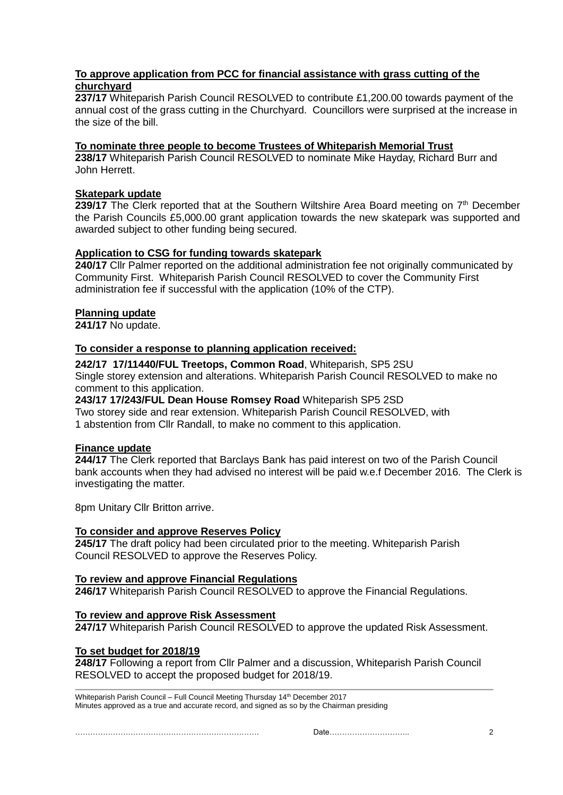# **To approve application from PCC for financial assistance with grass cutting of the churchyard**

**237/17** Whiteparish Parish Council RESOLVED to contribute £1,200.00 towards payment of the annual cost of the grass cutting in the Churchyard. Councillors were surprised at the increase in the size of the bill.

# **To nominate three people to become Trustees of Whiteparish Memorial Trust**

**238/17** Whiteparish Parish Council RESOLVED to nominate Mike Hayday, Richard Burr and John Herrett.

## **Skatepark update**

239/17 The Clerk reported that at the Southern Wiltshire Area Board meeting on 7<sup>th</sup> December the Parish Councils £5,000.00 grant application towards the new skatepark was supported and awarded subject to other funding being secured.

# **Application to CSG for funding towards skatepark**

**240/17** Cllr Palmer reported on the additional administration fee not originally communicated by Community First. Whiteparish Parish Council RESOLVED to cover the Community First administration fee if successful with the application (10% of the CTP).

# **Planning update**

**241/17** No update.

## **To consider a response to planning application received:**

**242/17 17/11440/FUL Treetops, Common Road**, Whiteparish, SP5 2SU Single storey extension and alterations. Whiteparish Parish Council RESOLVED to make no comment to this application.

# **243/17 17/243/FUL Dean House Romsey Road** Whiteparish SP5 2SD

Two storey side and rear extension. Whiteparish Parish Council RESOLVED, with 1 abstention from Cllr Randall, to make no comment to this application.

## **Finance update**

**244/17** The Clerk reported that Barclays Bank has paid interest on two of the Parish Council bank accounts when they had advised no interest will be paid w.e.f December 2016. The Clerk is investigating the matter.

8pm Unitary Cllr Britton arrive.

## **To consider and approve Reserves Policy**

**245/17** The draft policy had been circulated prior to the meeting. Whiteparish Parish Council RESOLVED to approve the Reserves Policy.

## **To review and approve Financial Regulations**

**246/17** Whiteparish Parish Council RESOLVED to approve the Financial Regulations.

# **To review and approve Risk Assessment**

**247/17** Whiteparish Parish Council RESOLVED to approve the updated Risk Assessment.

## **To set budget for 2018/19**

**248/17** Following a report from Cllr Palmer and a discussion, Whiteparish Parish Council RESOLVED to accept the proposed budget for 2018/19.

Whiteparish Parish Council – Full Council Meeting Thursday 14<sup>th</sup> December 2017 Minutes approved as a true and accurate record, and signed as so by the Chairman presiding

………………………………………………………………. Date………………………….. 2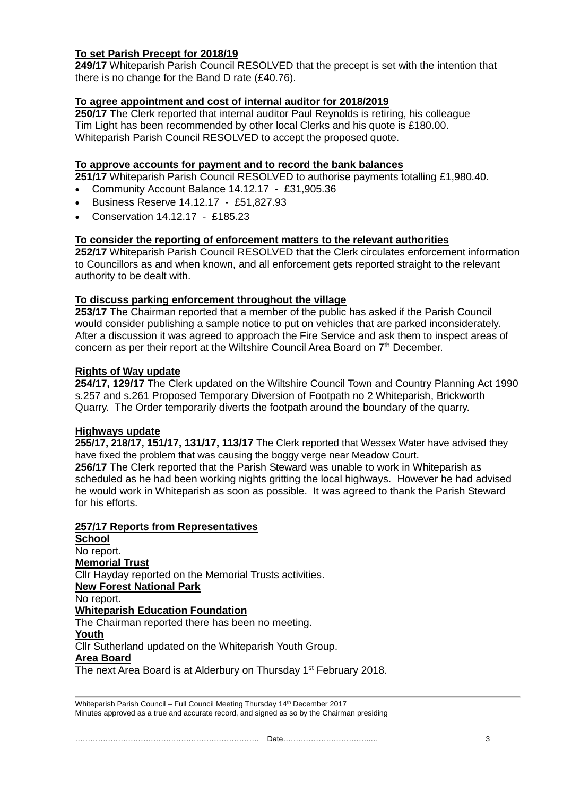## **To set Parish Precept for 2018/19**

**249/17** Whiteparish Parish Council RESOLVED that the precept is set with the intention that there is no change for the Band D rate (£40.76).

# **To agree appointment and cost of internal auditor for 2018/2019**

**250/17** The Clerk reported that internal auditor Paul Reynolds is retiring, his colleague Tim Light has been recommended by other local Clerks and his quote is £180.00. Whiteparish Parish Council RESOLVED to accept the proposed quote.

## **To approve accounts for payment and to record the bank balances**

**251/17** Whiteparish Parish Council RESOLVED to authorise payments totalling £1,980.40.

- Community Account Balance 14.12.17 £31,905.36
- Business Reserve 14.12.17 £51,827.93
- Conservation 14.12.17 £185.23

## **To consider the reporting of enforcement matters to the relevant authorities**

**252/17** Whiteparish Parish Council RESOLVED that the Clerk circulates enforcement information to Councillors as and when known, and all enforcement gets reported straight to the relevant authority to be dealt with.

# **To discuss parking enforcement throughout the village**

**253/17** The Chairman reported that a member of the public has asked if the Parish Council would consider publishing a sample notice to put on vehicles that are parked inconsiderately. After a discussion it was agreed to approach the Fire Service and ask them to inspect areas of concern as per their report at the Wiltshire Council Area Board on  $7<sup>th</sup>$  December.

## **Rights of Way update**

**254/17, 129/17** The Clerk updated on the Wiltshire Council Town and Country Planning Act 1990 s.257 and s.261 Proposed Temporary Diversion of Footpath no 2 Whiteparish, Brickworth Quarry. The Order temporarily diverts the footpath around the boundary of the quarry.

## **Highways update**

**255/17, 218/17, 151/17, 131/17, 113/17** The Clerk reported that Wessex Water have advised they have fixed the problem that was causing the boggy verge near Meadow Court. **256/17** The Clerk reported that the Parish Steward was unable to work in Whiteparish as scheduled as he had been working nights gritting the local highways. However he had advised he would work in Whiteparish as soon as possible. It was agreed to thank the Parish Steward for his efforts.

## **257/17 Reports from Representatives**

| School                                                                         |
|--------------------------------------------------------------------------------|
| No report.                                                                     |
| <u>Memorial Trust</u>                                                          |
| CIIr Hayday reported on the Memorial Trusts activities.                        |
| <b>New Forest National Park</b>                                                |
| No report.                                                                     |
| <b>Whiteparish Education Foundation</b>                                        |
| The Chairman reported there has been no meeting.                               |
| Youth                                                                          |
| Cllr Sutherland updated on the Whiteparish Youth Group.                        |
| Area Board                                                                     |
| The next Area Board is at Alderbury on Thursday 1 <sup>st</sup> February 2018. |

Whiteparish Parish Council – Full Council Meeting Thursday 14<sup>th</sup> December 2017 Minutes approved as a true and accurate record, and signed as so by the Chairman presiding